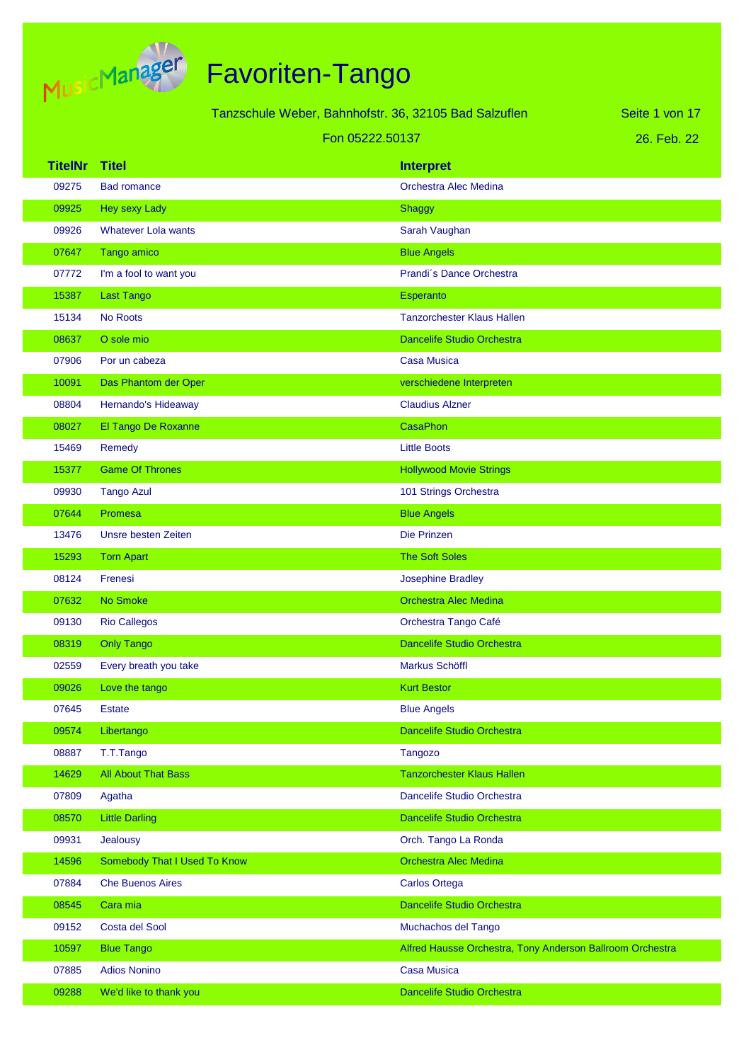

Tanzschule Weber, Bahnhofstr. 36, 32105 Bad Salzuflen

26. Feb. 22 Seite 1 von 17

#### Fon 05222.50137

| <b>TitelNr</b> | <b>Titel</b>                 | <b>Interpret</b>                                          |
|----------------|------------------------------|-----------------------------------------------------------|
| 09275          | <b>Bad romance</b>           | Orchestra Alec Medina                                     |
| 09925          | Hey sexy Lady                | <b>Shaggy</b>                                             |
| 09926          | <b>Whatever Lola wants</b>   | Sarah Vaughan                                             |
| 07647          | Tango amico                  | <b>Blue Angels</b>                                        |
| 07772          | I'm a fool to want you       | Prandi's Dance Orchestra                                  |
| 15387          | <b>Last Tango</b>            | Esperanto                                                 |
| 15134          | No Roots                     | <b>Tanzorchester Klaus Hallen</b>                         |
| 08637          | O sole mio                   | <b>Dancelife Studio Orchestra</b>                         |
| 07906          | Por un cabeza                | <b>Casa Musica</b>                                        |
| 10091          | Das Phantom der Oper         | verschiedene Interpreten                                  |
| 08804          | Hernando's Hideaway          | <b>Claudius Alzner</b>                                    |
| 08027          | El Tango De Roxanne          | <b>CasaPhon</b>                                           |
| 15469          | Remedy                       | <b>Little Boots</b>                                       |
| 15377          | <b>Game Of Thrones</b>       | <b>Hollywood Movie Strings</b>                            |
| 09930          | <b>Tango Azul</b>            | 101 Strings Orchestra                                     |
| 07644          | Promesa                      | <b>Blue Angels</b>                                        |
| 13476          | Unsre besten Zeiten          | Die Prinzen                                               |
| 15293          | <b>Torn Apart</b>            | <b>The Soft Soles</b>                                     |
| 08124          | Frenesi                      | <b>Josephine Bradley</b>                                  |
| 07632          | No Smoke                     | <b>Orchestra Alec Medina</b>                              |
| 09130          | <b>Rio Callegos</b>          | Orchestra Tango Café                                      |
| 08319          | <b>Only Tango</b>            | <b>Dancelife Studio Orchestra</b>                         |
| 02559          | Every breath you take        | Markus Schöffl                                            |
| 09026          | Love the tango               | <b>Kurt Bestor</b>                                        |
| 07645          | <b>Estate</b>                | <b>Blue Angels</b>                                        |
| 09574          | Libertango                   | <b>Dancelife Studio Orchestra</b>                         |
| 08887          | T.T.Tango                    | <b>Tangozo</b>                                            |
| 14629          | <b>All About That Bass</b>   | <b>Tanzorchester Klaus Hallen</b>                         |
| 07809          | Agatha                       | Dancelife Studio Orchestra                                |
| 08570          | <b>Little Darling</b>        | Dancelife Studio Orchestra                                |
| 09931          | Jealousy                     | Orch. Tango La Ronda                                      |
| 14596          | Somebody That I Used To Know | <b>Orchestra Alec Medina</b>                              |
| 07884          | <b>Che Buenos Aires</b>      | <b>Carlos Ortega</b>                                      |
| 08545          | Cara mia                     | Dancelife Studio Orchestra                                |
| 09152          | Costa del Sool               | Muchachos del Tango                                       |
| 10597          | <b>Blue Tango</b>            | Alfred Hausse Orchestra, Tony Anderson Ballroom Orchestra |
| 07885          | <b>Adios Nonino</b>          | <b>Casa Musica</b>                                        |
| 09288          | We'd like to thank you       | Dancelife Studio Orchestra                                |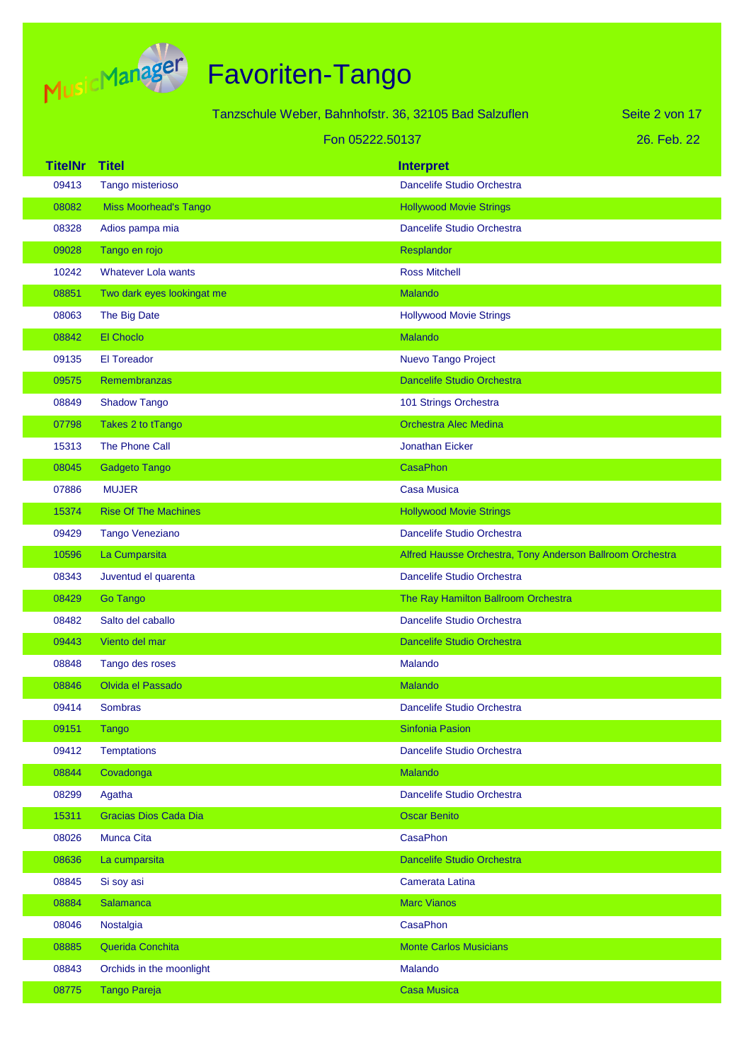

|                |                              | Tanzschule Weber, Bahnhofstr. 36, 32105 Bad Salzuflen     | Seite 2 von 17 |
|----------------|------------------------------|-----------------------------------------------------------|----------------|
|                |                              | Fon 05222.50137                                           | 26. Feb. 22    |
| <b>TitelNr</b> | <b>Titel</b>                 | <b>Interpret</b>                                          |                |
| 09413          | Tango misterioso             | Dancelife Studio Orchestra                                |                |
| 08082          | <b>Miss Moorhead's Tango</b> | <b>Hollywood Movie Strings</b>                            |                |
| 08328          | Adios pampa mia              | Dancelife Studio Orchestra                                |                |
| 09028          | Tango en rojo                | Resplandor                                                |                |
| 10242          | <b>Whatever Lola wants</b>   | <b>Ross Mitchell</b>                                      |                |
| 08851          | Two dark eyes lookingat me   | Malando                                                   |                |
| 08063          | The Big Date                 | <b>Hollywood Movie Strings</b>                            |                |
| 08842          | <b>El Choclo</b>             | <b>Malando</b>                                            |                |
| 09135          | <b>El Toreador</b>           | Nuevo Tango Project                                       |                |
| 09575          | Remembranzas                 | <b>Dancelife Studio Orchestra</b>                         |                |
| 08849          | <b>Shadow Tango</b>          | 101 Strings Orchestra                                     |                |
| 07798          | Takes 2 to tTango            | <b>Orchestra Alec Medina</b>                              |                |
| 15313          | The Phone Call               | <b>Jonathan Eicker</b>                                    |                |
| 08045          | Gadgeto Tango                | CasaPhon                                                  |                |
| 07886          | <b>MUJER</b>                 | <b>Casa Musica</b>                                        |                |
| 15374          | <b>Rise Of The Machines</b>  | <b>Hollywood Movie Strings</b>                            |                |
| 09429          | Tango Veneziano              | Dancelife Studio Orchestra                                |                |
| 10596          | La Cumparsita                | Alfred Hausse Orchestra, Tony Anderson Ballroom Orchestra |                |
| 08343          | Juventud el quarenta         | Dancelife Studio Orchestra                                |                |
| 08429          | <b>Go Tango</b>              | The Ray Hamilton Ballroom Orchestra                       |                |
| 08482          | Salto del caballo            | Dancelife Studio Orchestra                                |                |
| 09443          | Viento del mar               | <b>Dancelife Studio Orchestra</b>                         |                |
| 08848          | Tango des roses              | Malando                                                   |                |
| 08846          | Olvida el Passado            | Malando                                                   |                |
| 09414          | Sombras                      | Dancelife Studio Orchestra                                |                |
| 09151          | <b>Tango</b>                 | <b>Sinfonia Pasion</b>                                    |                |
| 09412          | <b>Temptations</b>           | Dancelife Studio Orchestra                                |                |
| 08844          | Covadonga                    | Malando                                                   |                |
| 08299          | Agatha                       | Dancelife Studio Orchestra                                |                |
| 15311          | Gracias Dios Cada Dia        | <b>Oscar Benito</b>                                       |                |
| 08026          | <b>Munca Cita</b>            | <b>CasaPhon</b>                                           |                |
| 08636          | La cumparsita                | <b>Dancelife Studio Orchestra</b>                         |                |
| 08845          | Si soy asi                   | Camerata Latina                                           |                |
| 08884          | Salamanca                    | <b>Marc Vianos</b>                                        |                |
| 08046          | Nostalgia                    | <b>CasaPhon</b>                                           |                |
| 08885          | Querida Conchita             | <b>Monte Carlos Musicians</b>                             |                |
| 08843          | Orchids in the moonlight     | Malando                                                   |                |
| 08775          | <b>Tango Pareja</b>          | <b>Casa Musica</b>                                        |                |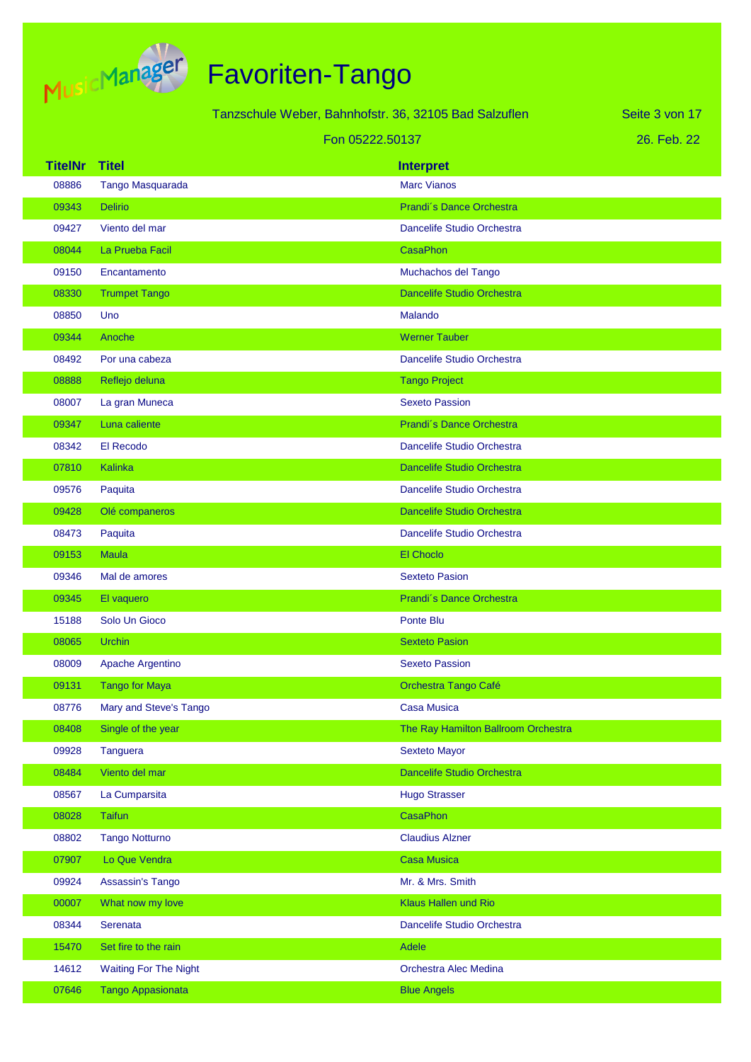

|                |                              | Tanzschule Weber, Bahnhofstr. 36, 32105 Bad Salzuflen | Seite 3 von 17 |
|----------------|------------------------------|-------------------------------------------------------|----------------|
|                |                              | Fon 05222.50137                                       | 26. Feb. 22    |
| <b>TitelNr</b> | <b>Titel</b>                 | <b>Interpret</b>                                      |                |
| 08886          | Tango Masquarada             | <b>Marc Vianos</b>                                    |                |
| 09343          | <b>Delirio</b>               | Prandi's Dance Orchestra                              |                |
| 09427          | Viento del mar               | Dancelife Studio Orchestra                            |                |
| 08044          | La Prueba Facil              | <b>CasaPhon</b>                                       |                |
| 09150          | Encantamento                 | Muchachos del Tango                                   |                |
| 08330          | <b>Trumpet Tango</b>         | Dancelife Studio Orchestra                            |                |
| 08850          | Uno                          | Malando                                               |                |
| 09344          | Anoche                       | <b>Werner Tauber</b>                                  |                |
| 08492          | Por una cabeza               | Dancelife Studio Orchestra                            |                |
| 08888          | Reflejo deluna               | <b>Tango Project</b>                                  |                |
| 08007          | La gran Muneca               | <b>Sexeto Passion</b>                                 |                |
| 09347          | Luna caliente                | Prandi's Dance Orchestra                              |                |
| 08342          | El Recodo                    | Dancelife Studio Orchestra                            |                |
| 07810          | Kalinka                      | <b>Dancelife Studio Orchestra</b>                     |                |
| 09576          | Paquita                      | Dancelife Studio Orchestra                            |                |
| 09428          | Olé companeros               | <b>Dancelife Studio Orchestra</b>                     |                |
| 08473          | Paquita                      | Dancelife Studio Orchestra                            |                |
| 09153          | <b>Maula</b>                 | El Choclo                                             |                |
| 09346          | Mal de amores                | <b>Sexteto Pasion</b>                                 |                |
| 09345          | El vaquero                   | Prandi's Dance Orchestra                              |                |
| 15188          | Solo Un Gioco                | Ponte Blu                                             |                |
| 08065          | <b>Urchin</b>                | <b>Sexteto Pasion</b>                                 |                |
| 08009          | Apache Argentino             | <b>Sexeto Passion</b>                                 |                |
| 09131          | <b>Tango for Maya</b>        | Orchestra Tango Café                                  |                |
| 08776          | Mary and Steve's Tango       | <b>Casa Musica</b>                                    |                |
| 08408          | Single of the year           | The Ray Hamilton Ballroom Orchestra                   |                |
| 09928          | <b>Tanguera</b>              | <b>Sexteto Mayor</b>                                  |                |
| 08484          | Viento del mar               | Dancelife Studio Orchestra                            |                |
| 08567          | La Cumparsita                | <b>Hugo Strasser</b>                                  |                |
| 08028          | <b>Taifun</b>                | CasaPhon                                              |                |
| 08802          | <b>Tango Notturno</b>        | <b>Claudius Alzner</b>                                |                |
| 07907          | Lo Que Vendra                | <b>Casa Musica</b>                                    |                |
| 09924          | Assassin's Tango             | Mr. & Mrs. Smith                                      |                |
| 00007          | What now my love             | Klaus Hallen und Rio                                  |                |
| 08344          | Serenata                     | Dancelife Studio Orchestra                            |                |
| 15470          | Set fire to the rain         | Adele                                                 |                |
| 14612          | <b>Waiting For The Night</b> | Orchestra Alec Medina                                 |                |
| 07646          | <b>Tango Appasionata</b>     | <b>Blue Angels</b>                                    |                |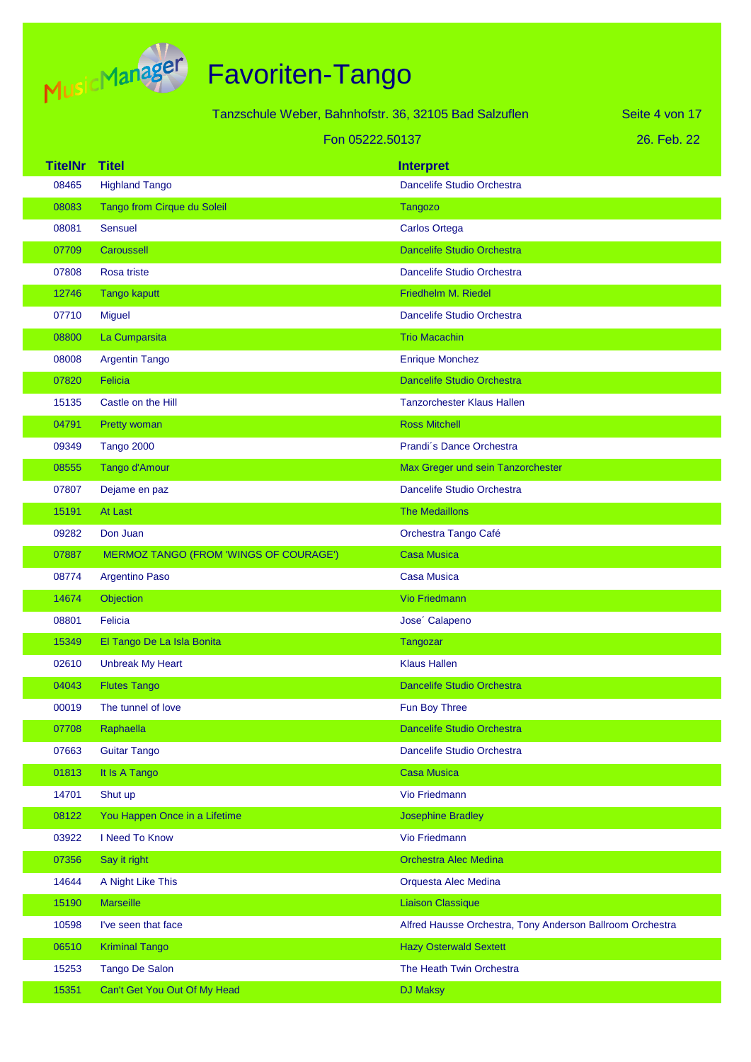

|                |                                        | Tanzschule Weber, Bahnhofstr. 36, 32105 Bad Salzuflen     | Seite 4 von 17 |
|----------------|----------------------------------------|-----------------------------------------------------------|----------------|
|                |                                        | Fon 05222.50137                                           | 26. Feb. 22    |
| <b>TitelNr</b> | <b>Titel</b>                           | <b>Interpret</b>                                          |                |
| 08465          | <b>Highland Tango</b>                  | Dancelife Studio Orchestra                                |                |
| 08083          | Tango from Cirque du Soleil            | <b>Tangozo</b>                                            |                |
| 08081          | <b>Sensuel</b>                         | <b>Carlos Ortega</b>                                      |                |
| 07709          | Caroussell                             | <b>Dancelife Studio Orchestra</b>                         |                |
| 07808          | Rosa triste                            | Dancelife Studio Orchestra                                |                |
| 12746          | <b>Tango kaputt</b>                    | Friedhelm M. Riedel                                       |                |
| 07710          | <b>Miguel</b>                          | Dancelife Studio Orchestra                                |                |
| 08800          | La Cumparsita                          | <b>Trio Macachin</b>                                      |                |
| 08008          | Argentin Tango                         | <b>Enrique Monchez</b>                                    |                |
| 07820          | Felicia                                | <b>Dancelife Studio Orchestra</b>                         |                |
| 15135          | Castle on the Hill                     | <b>Tanzorchester Klaus Hallen</b>                         |                |
| 04791          | Pretty woman                           | <b>Ross Mitchell</b>                                      |                |
| 09349          | <b>Tango 2000</b>                      | Prandi's Dance Orchestra                                  |                |
| 08555          | Tango d'Amour                          | Max Greger und sein Tanzorchester                         |                |
| 07807          | Dejame en paz                          | Dancelife Studio Orchestra                                |                |
| 15191          | At Last                                | <b>The Medaillons</b>                                     |                |
| 09282          | Don Juan                               | Orchestra Tango Café                                      |                |
| 07887          | MERMOZ TANGO (FROM 'WINGS OF COURAGE') | <b>Casa Musica</b>                                        |                |
| 08774          | <b>Argentino Paso</b>                  | <b>Casa Musica</b>                                        |                |
| 14674          | Objection                              | <b>Vio Friedmann</b>                                      |                |
| 08801          | Felicia                                | Jose' Calapeno                                            |                |
| 15349          | El Tango De La Isla Bonita             | <b>Tangozar</b>                                           |                |
| 02610          | <b>Unbreak My Heart</b>                | <b>Klaus Hallen</b>                                       |                |
| 04043          | <b>Flutes Tango</b>                    | Dancelife Studio Orchestra                                |                |
| 00019          | The tunnel of love                     | Fun Boy Three                                             |                |
| 07708          | Raphaella                              | Dancelife Studio Orchestra                                |                |
| 07663          | <b>Guitar Tango</b>                    | Dancelife Studio Orchestra                                |                |
| 01813          | It Is A Tango                          | <b>Casa Musica</b>                                        |                |
| 14701          | Shut up                                | <b>Vio Friedmann</b>                                      |                |
| 08122          | You Happen Once in a Lifetime          | <b>Josephine Bradley</b>                                  |                |
| 03922          | I Need To Know                         | <b>Vio Friedmann</b>                                      |                |
| 07356          | Say it right                           | Orchestra Alec Medina                                     |                |
| 14644          | A Night Like This                      | Orquesta Alec Medina                                      |                |
| 15190          | <b>Marseille</b>                       | <b>Liaison Classique</b>                                  |                |
| 10598          | I've seen that face                    | Alfred Hausse Orchestra, Tony Anderson Ballroom Orchestra |                |
| 06510          | <b>Kriminal Tango</b>                  | <b>Hazy Osterwald Sextett</b>                             |                |
| 15253          | <b>Tango De Salon</b>                  | The Heath Twin Orchestra                                  |                |
| 15351          | Can't Get You Out Of My Head           | <b>DJ Maksy</b>                                           |                |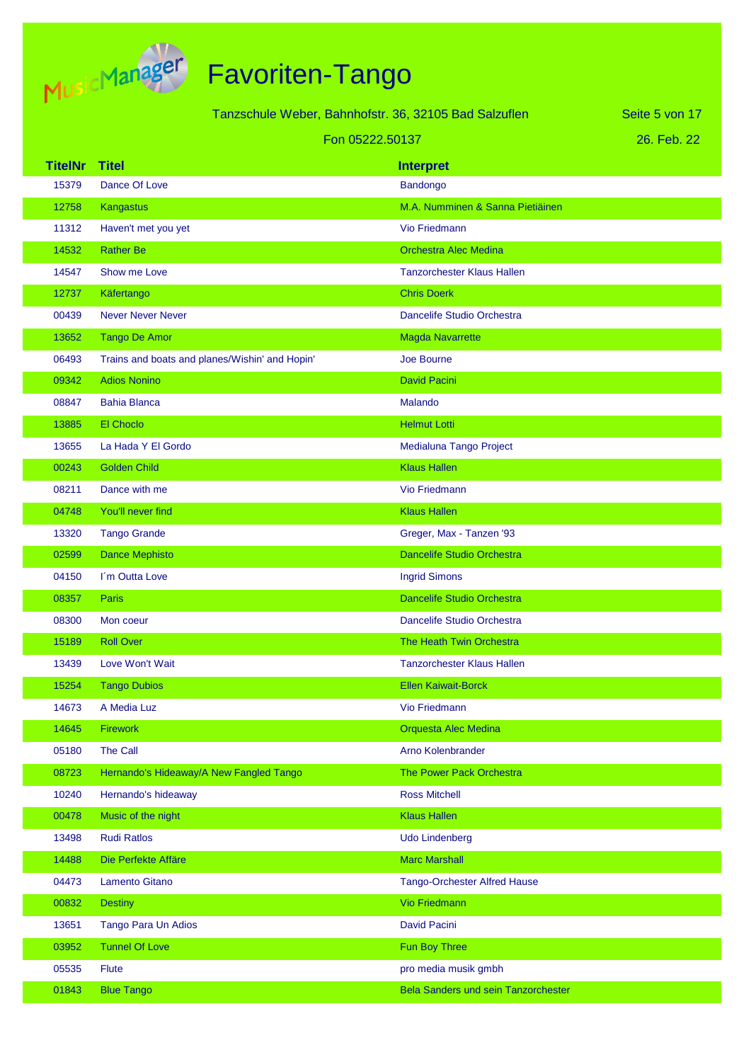

|                         |                                                | Tanzschule Weber, Bahnhofstr. 36, 32105 Bad Salzuflen | Seite 5 von 17 |
|-------------------------|------------------------------------------------|-------------------------------------------------------|----------------|
|                         |                                                | Fon 05222.50137                                       | 26. Feb. 22    |
|                         |                                                |                                                       |                |
| <b>TitelNr</b><br>15379 | <b>Titel</b><br>Dance Of Love                  | <b>Interpret</b><br>Bandongo                          |                |
| 12758                   | Kangastus                                      | M.A. Numminen & Sanna Pietiäinen                      |                |
| 11312                   | Haven't met you yet                            | <b>Vio Friedmann</b>                                  |                |
| 14532                   | <b>Rather Be</b>                               | <b>Orchestra Alec Medina</b>                          |                |
| 14547                   | Show me Love                                   | <b>Tanzorchester Klaus Hallen</b>                     |                |
| 12737                   | Käfertango                                     | <b>Chris Doerk</b>                                    |                |
| 00439                   | <b>Never Never Never</b>                       | Dancelife Studio Orchestra                            |                |
| 13652                   | <b>Tango De Amor</b>                           | <b>Magda Navarrette</b>                               |                |
| 06493                   | Trains and boats and planes/Wishin' and Hopin' | Joe Bourne                                            |                |
| 09342                   | <b>Adios Nonino</b>                            | <b>David Pacini</b>                                   |                |
| 08847                   | <b>Bahia Blanca</b>                            | Malando                                               |                |
| 13885                   | <b>El Choclo</b>                               | <b>Helmut Lotti</b>                                   |                |
| 13655                   | La Hada Y El Gordo                             | Medialuna Tango Project                               |                |
| 00243                   | <b>Golden Child</b>                            | <b>Klaus Hallen</b>                                   |                |
| 08211                   | Dance with me                                  | <b>Vio Friedmann</b>                                  |                |
| 04748                   | You'll never find                              | <b>Klaus Hallen</b>                                   |                |
| 13320                   | <b>Tango Grande</b>                            | Greger, Max - Tanzen '93                              |                |
| 02599                   | <b>Dance Mephisto</b>                          | <b>Dancelife Studio Orchestra</b>                     |                |
| 04150                   | I'm Outta Love                                 | <b>Ingrid Simons</b>                                  |                |
| 08357                   | <b>Paris</b>                                   | <b>Dancelife Studio Orchestra</b>                     |                |
| 08300                   | Mon coeur                                      | Dancelife Studio Orchestra                            |                |
| 15189                   | <b>Roll Over</b>                               | The Heath Twin Orchestra                              |                |
| 13439                   | Love Won't Wait                                | <b>Tanzorchester Klaus Hallen</b>                     |                |
| 15254                   | <b>Tango Dubios</b>                            | <b>Ellen Kaiwait-Borck</b>                            |                |
| 14673                   | A Media Luz                                    | Vio Friedmann                                         |                |
| 14645                   | <b>Firework</b>                                | <b>Orquesta Alec Medina</b>                           |                |
| 05180                   | The Call                                       | Arno Kolenbrander                                     |                |
| 08723                   | Hernando's Hideaway/A New Fangled Tango        | The Power Pack Orchestra                              |                |
| 10240                   | Hernando's hideaway                            | <b>Ross Mitchell</b>                                  |                |
| 00478                   | Music of the night                             | <b>Klaus Hallen</b>                                   |                |
| 13498                   | <b>Rudi Ratlos</b>                             | <b>Udo Lindenberg</b>                                 |                |
| 14488                   | Die Perfekte Affäre                            | <b>Marc Marshall</b>                                  |                |
| 04473                   | Lamento Gitano                                 | <b>Tango-Orchester Alfred Hause</b>                   |                |
| 00832                   | <b>Destiny</b>                                 | <b>Vio Friedmann</b>                                  |                |
| 13651                   | Tango Para Un Adios                            | <b>David Pacini</b>                                   |                |
| 03952                   | <b>Tunnel Of Love</b>                          | Fun Boy Three                                         |                |
| 05535                   | <b>Flute</b>                                   | pro media musik gmbh                                  |                |
| 01843                   | <b>Blue Tango</b>                              | Bela Sanders und sein Tanzorchester                   |                |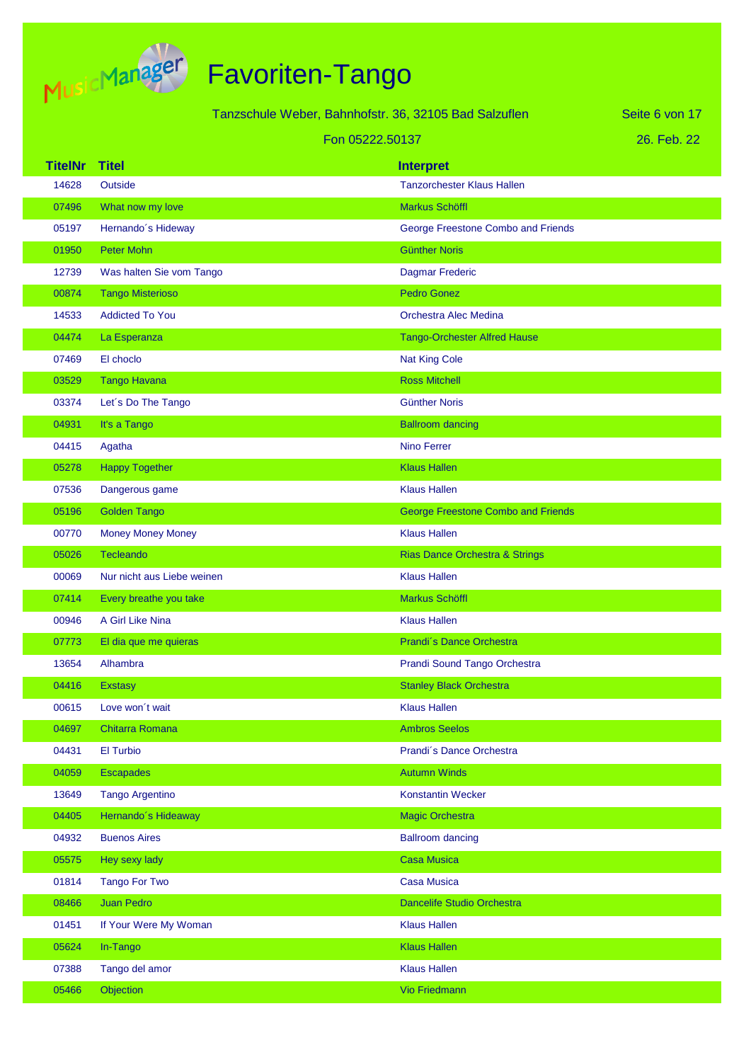

|                |                            | Tanzschule Weber, Bahnhofstr. 36, 32105 Bad Salzuflen |                                           | Seite 6 von 17 |
|----------------|----------------------------|-------------------------------------------------------|-------------------------------------------|----------------|
|                |                            | Fon 05222.50137                                       |                                           | 26. Feb. 22    |
| <b>TitelNr</b> | <b>Titel</b>               |                                                       | <b>Interpret</b>                          |                |
| 14628          | Outside                    |                                                       | <b>Tanzorchester Klaus Hallen</b>         |                |
| 07496          | What now my love           |                                                       | <b>Markus Schöffl</b>                     |                |
| 05197          | Hernando's Hideway         |                                                       | George Freestone Combo and Friends        |                |
| 01950          | Peter Mohn                 |                                                       | <b>Günther Noris</b>                      |                |
| 12739          | Was halten Sie vom Tango   |                                                       | Dagmar Frederic                           |                |
| 00874          | <b>Tango Misterioso</b>    |                                                       | <b>Pedro Gonez</b>                        |                |
| 14533          | <b>Addicted To You</b>     |                                                       | Orchestra Alec Medina                     |                |
| 04474          | La Esperanza               |                                                       | <b>Tango-Orchester Alfred Hause</b>       |                |
| 07469          | El choclo                  |                                                       | <b>Nat King Cole</b>                      |                |
| 03529          | <b>Tango Havana</b>        |                                                       | <b>Ross Mitchell</b>                      |                |
| 03374          | Let's Do The Tango         |                                                       | <b>Günther Noris</b>                      |                |
| 04931          | It's a Tango               |                                                       | <b>Ballroom dancing</b>                   |                |
| 04415          | Agatha                     |                                                       | <b>Nino Ferrer</b>                        |                |
| 05278          | <b>Happy Together</b>      |                                                       | <b>Klaus Hallen</b>                       |                |
| 07536          | Dangerous game             |                                                       | <b>Klaus Hallen</b>                       |                |
| 05196          | <b>Golden Tango</b>        |                                                       | <b>George Freestone Combo and Friends</b> |                |
| 00770          | <b>Money Money Money</b>   |                                                       | <b>Klaus Hallen</b>                       |                |
| 05026          | Tecleando                  |                                                       | <b>Rias Dance Orchestra &amp; Strings</b> |                |
| 00069          | Nur nicht aus Liebe weinen |                                                       | <b>Klaus Hallen</b>                       |                |
| 07414          | Every breathe you take     |                                                       | Markus Schöffl                            |                |
| 00946          | A Girl Like Nina           |                                                       | <b>Klaus Hallen</b>                       |                |
| 07773          | El dia que me quieras      |                                                       | Prandi's Dance Orchestra                  |                |
| 13654          | Alhambra                   |                                                       | Prandi Sound Tango Orchestra              |                |
| 04416          | Exstasy                    |                                                       | <b>Stanley Black Orchestra</b>            |                |
| 00615          | Love won't wait            |                                                       | <b>Klaus Hallen</b>                       |                |
| 04697          | Chitarra Romana            |                                                       | <b>Ambros Seelos</b>                      |                |
| 04431          | El Turbio                  |                                                       | Prandi's Dance Orchestra                  |                |
| 04059          | <b>Escapades</b>           |                                                       | <b>Autumn Winds</b>                       |                |
| 13649          | <b>Tango Argentino</b>     |                                                       | <b>Konstantin Wecker</b>                  |                |
| 04405          | Hernando's Hideaway        |                                                       | <b>Magic Orchestra</b>                    |                |
| 04932          | <b>Buenos Aires</b>        |                                                       | <b>Ballroom dancing</b>                   |                |
| 05575          | Hey sexy lady              |                                                       | <b>Casa Musica</b>                        |                |
| 01814          | <b>Tango For Two</b>       |                                                       | <b>Casa Musica</b>                        |                |
| 08466          | <b>Juan Pedro</b>          |                                                       | <b>Dancelife Studio Orchestra</b>         |                |
| 01451          | If Your Were My Woman      |                                                       | <b>Klaus Hallen</b>                       |                |
| 05624          | In-Tango                   |                                                       | <b>Klaus Hallen</b>                       |                |
| 07388          | Tango del amor             |                                                       | <b>Klaus Hallen</b>                       |                |
| 05466          | Objection                  |                                                       | Vio Friedmann                             |                |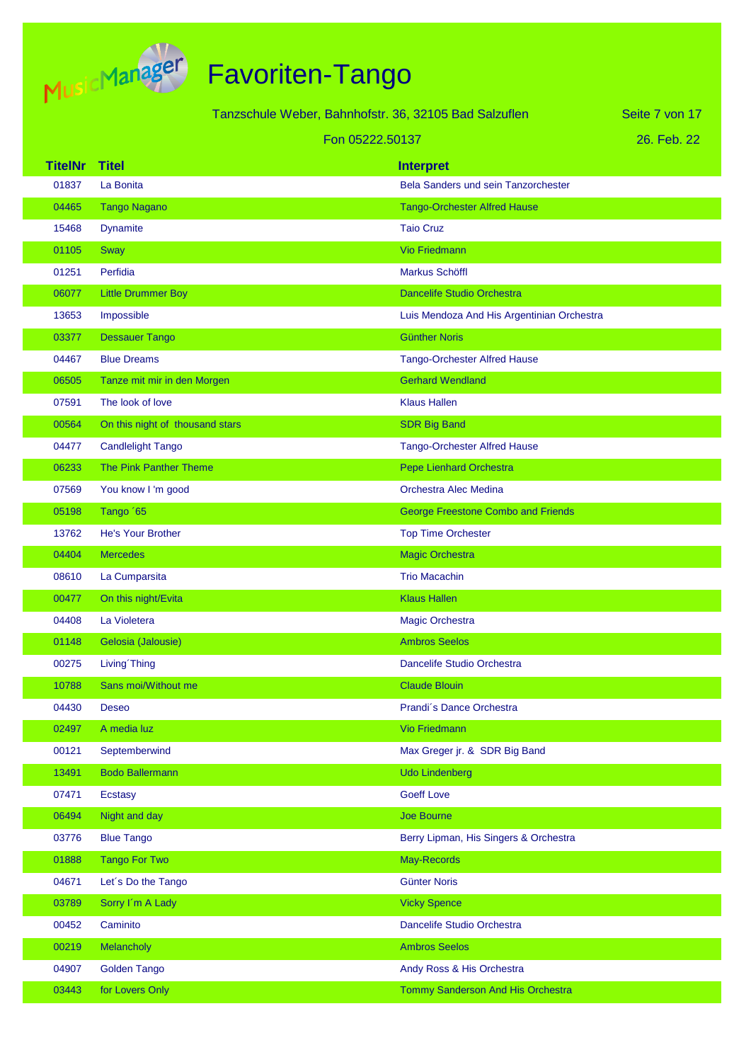

|                |                                 | Tanzschule Weber, Bahnhofstr. 36, 32105 Bad Salzuflen | Seite 7 von 17 |
|----------------|---------------------------------|-------------------------------------------------------|----------------|
|                |                                 | Fon 05222.50137                                       | 26. Feb. 22    |
| <b>TitelNr</b> | <b>Titel</b>                    | <b>Interpret</b>                                      |                |
| 01837          | La Bonita                       | Bela Sanders und sein Tanzorchester                   |                |
| 04465          | <b>Tango Nagano</b>             | <b>Tango-Orchester Alfred Hause</b>                   |                |
| 15468          | <b>Dynamite</b>                 | <b>Taio Cruz</b>                                      |                |
| 01105          | Sway                            | <b>Vio Friedmann</b>                                  |                |
| 01251          | Perfidia                        | <b>Markus Schöffl</b>                                 |                |
| 06077          | <b>Little Drummer Boy</b>       | <b>Dancelife Studio Orchestra</b>                     |                |
| 13653          | Impossible                      | Luis Mendoza And His Argentinian Orchestra            |                |
| 03377          | <b>Dessauer Tango</b>           | <b>Günther Noris</b>                                  |                |
| 04467          | <b>Blue Dreams</b>              | <b>Tango-Orchester Alfred Hause</b>                   |                |
| 06505          | Tanze mit mir in den Morgen     | <b>Gerhard Wendland</b>                               |                |
| 07591          | The look of love                | <b>Klaus Hallen</b>                                   |                |
| 00564          | On this night of thousand stars | <b>SDR Big Band</b>                                   |                |
| 04477          | <b>Candlelight Tango</b>        | <b>Tango-Orchester Alfred Hause</b>                   |                |
| 06233          | The Pink Panther Theme          | <b>Pepe Lienhard Orchestra</b>                        |                |
| 07569          | You know I'm good               | Orchestra Alec Medina                                 |                |
| 05198          | Tango '65                       | <b>George Freestone Combo and Friends</b>             |                |
| 13762          | He's Your Brother               | <b>Top Time Orchester</b>                             |                |
| 04404          | <b>Mercedes</b>                 | <b>Magic Orchestra</b>                                |                |
| 08610          | La Cumparsita                   | <b>Trio Macachin</b>                                  |                |
| 00477          | On this night/Evita             | <b>Klaus Hallen</b>                                   |                |
| 04408          | La Violetera                    | Magic Orchestra                                       |                |
| 01148          | Gelosia (Jalousie)              | <b>Ambros Seelos</b>                                  |                |
| 00275          | Living Thing                    | Dancelife Studio Orchestra                            |                |
| 10788          | Sans moi/Without me             | <b>Claude Blouin</b>                                  |                |
| 04430          | <b>Deseo</b>                    | Prandi's Dance Orchestra                              |                |
| 02497          | A media luz                     | Vio Friedmann                                         |                |
| 00121          | Septemberwind                   | Max Greger jr. & SDR Big Band                         |                |
| 13491          | <b>Bodo Ballermann</b>          | <b>Udo Lindenberg</b>                                 |                |
| 07471          | Ecstasy                         | <b>Goeff Love</b>                                     |                |
| 06494          | Night and day                   | Joe Bourne                                            |                |
| 03776          | <b>Blue Tango</b>               | Berry Lipman, His Singers & Orchestra                 |                |
| 01888          | <b>Tango For Two</b>            | May-Records                                           |                |
| 04671          | Let's Do the Tango              | <b>Günter Noris</b>                                   |                |
| 03789          | Sorry I'm A Lady                | <b>Vicky Spence</b>                                   |                |
| 00452          | Caminito                        | Dancelife Studio Orchestra                            |                |
| 00219          | Melancholy                      | <b>Ambros Seelos</b>                                  |                |
| 04907          | Golden Tango                    | Andy Ross & His Orchestra                             |                |
| 03443          | for Lovers Only                 | Tommy Sanderson And His Orchestra                     |                |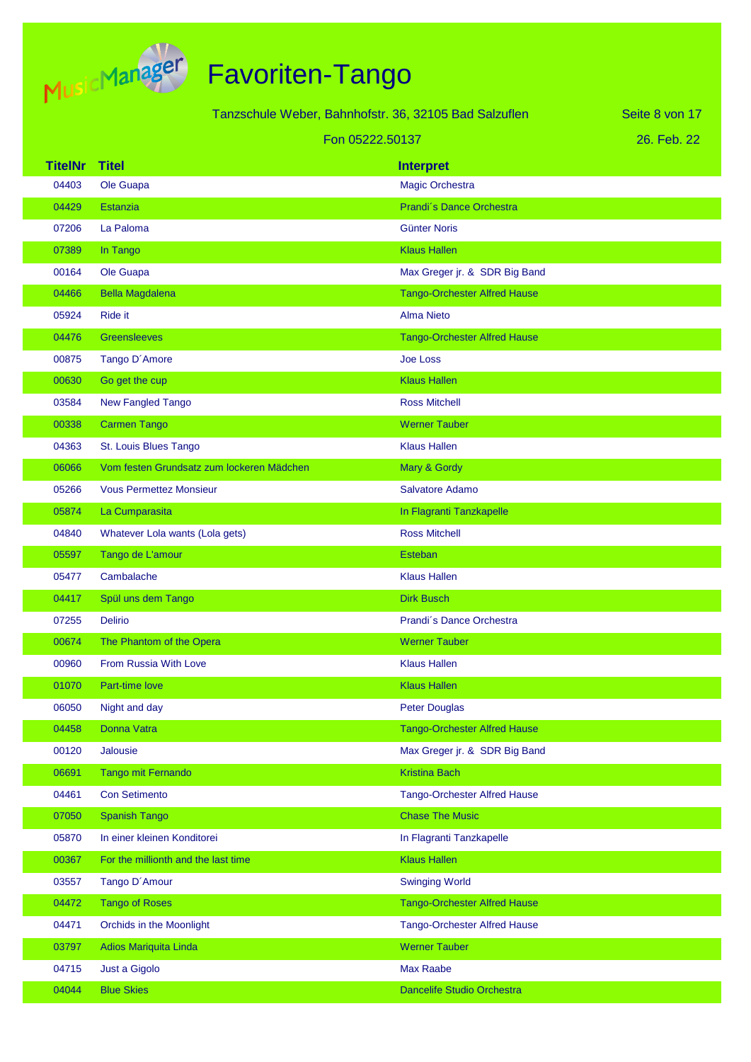

|                |                                           | Tanzschule Weber, Bahnhofstr. 36, 32105 Bad Salzuflen | Seite 8 von 17 |
|----------------|-------------------------------------------|-------------------------------------------------------|----------------|
|                |                                           | Fon 05222.50137                                       | 26. Feb. 22    |
| <b>TitelNr</b> | <b>Titel</b>                              | <b>Interpret</b>                                      |                |
| 04403          | Ole Guapa                                 | <b>Magic Orchestra</b>                                |                |
| 04429          | <b>Estanzia</b>                           | Prandi's Dance Orchestra                              |                |
| 07206          | La Paloma                                 | <b>Günter Noris</b>                                   |                |
| 07389          | In Tango                                  | <b>Klaus Hallen</b>                                   |                |
| 00164          | Ole Guapa                                 | Max Greger jr. & SDR Big Band                         |                |
| 04466          | <b>Bella Magdalena</b>                    | <b>Tango-Orchester Alfred Hause</b>                   |                |
| 05924          | <b>Ride it</b>                            | <b>Alma Nieto</b>                                     |                |
| 04476          | <b>Greensleeves</b>                       | <b>Tango-Orchester Alfred Hause</b>                   |                |
| 00875          | Tango D'Amore                             | <b>Joe Loss</b>                                       |                |
| 00630          | Go get the cup                            | <b>Klaus Hallen</b>                                   |                |
| 03584          | <b>New Fangled Tango</b>                  | <b>Ross Mitchell</b>                                  |                |
| 00338          | <b>Carmen Tango</b>                       | <b>Werner Tauber</b>                                  |                |
| 04363          | St. Louis Blues Tango                     | <b>Klaus Hallen</b>                                   |                |
| 06066          | Vom festen Grundsatz zum lockeren Mädchen | Mary & Gordy                                          |                |
| 05266          | <b>Vous Permettez Monsieur</b>            | Salvatore Adamo                                       |                |
| 05874          | La Cumparasita                            | In Flagranti Tanzkapelle                              |                |
| 04840          | Whatever Lola wants (Lola gets)           | <b>Ross Mitchell</b>                                  |                |
| 05597          | Tango de L'amour                          | <b>Esteban</b>                                        |                |
| 05477          | Cambalache                                | <b>Klaus Hallen</b>                                   |                |
| 04417          | Spül uns dem Tango                        | <b>Dirk Busch</b>                                     |                |
| 07255          | <b>Delirio</b>                            | Prandi's Dance Orchestra                              |                |
| 00674          | The Phantom of the Opera                  | <b>Werner Tauber</b>                                  |                |
| 00960          | <b>From Russia With Love</b>              | <b>Klaus Hallen</b>                                   |                |
| 01070          | Part-time love                            | <b>Klaus Hallen</b>                                   |                |
| 06050          | Night and day                             | <b>Peter Douglas</b>                                  |                |
| 04458          | Donna Vatra                               | <b>Tango-Orchester Alfred Hause</b>                   |                |
| 00120          | Jalousie                                  | Max Greger jr. & SDR Big Band                         |                |
| 06691          | Tango mit Fernando                        | <b>Kristina Bach</b>                                  |                |
| 04461          | <b>Con Setimento</b>                      | <b>Tango-Orchester Alfred Hause</b>                   |                |
| 07050          | <b>Spanish Tango</b>                      | <b>Chase The Music</b>                                |                |
| 05870          | In einer kleinen Konditorei               | In Flagranti Tanzkapelle                              |                |
| 00367          | For the millionth and the last time       | <b>Klaus Hallen</b>                                   |                |
| 03557          | Tango D'Amour                             | <b>Swinging World</b>                                 |                |
| 04472          | <b>Tango of Roses</b>                     | <b>Tango-Orchester Alfred Hause</b>                   |                |
| 04471          | Orchids in the Moonlight                  | <b>Tango-Orchester Alfred Hause</b>                   |                |
| 03797          | Adios Mariquita Linda                     | <b>Werner Tauber</b>                                  |                |
| 04715          | Just a Gigolo                             | <b>Max Raabe</b>                                      |                |
| 04044          | <b>Blue Skies</b>                         | Dancelife Studio Orchestra                            |                |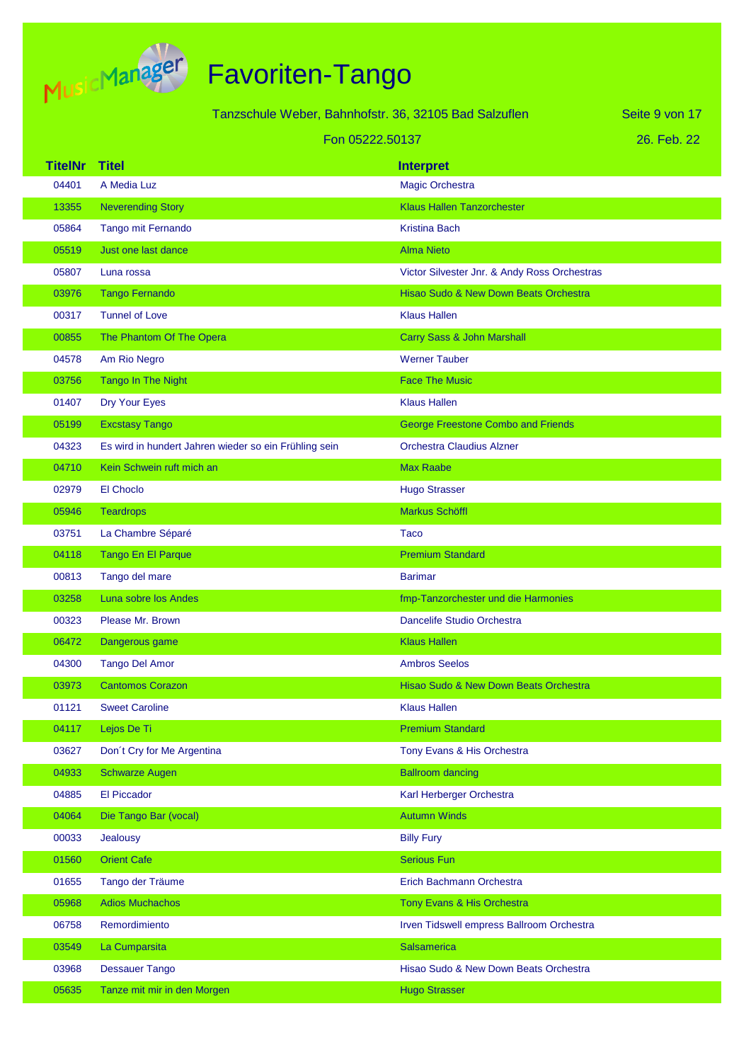

|                | Tanzschule Weber, Bahnhofstr. 36, 32105 Bad Salzuflen |                                              | Seite 9 von 17 |
|----------------|-------------------------------------------------------|----------------------------------------------|----------------|
|                | Fon 05222,50137                                       |                                              | 26. Feb. 22    |
| <b>TitelNr</b> | <b>Titel</b>                                          | <b>Interpret</b>                             |                |
| 04401          | A Media Luz                                           | <b>Magic Orchestra</b>                       |                |
| 13355          | <b>Neverending Story</b>                              | <b>Klaus Hallen Tanzorchester</b>            |                |
| 05864          | Tango mit Fernando                                    | <b>Kristina Bach</b>                         |                |
| 05519          | Just one last dance                                   | <b>Alma Nieto</b>                            |                |
| 05807          | Luna rossa                                            | Victor Silvester Jnr. & Andy Ross Orchestras |                |
| 03976          | <b>Tango Fernando</b>                                 | Hisao Sudo & New Down Beats Orchestra        |                |
| 00317          | <b>Tunnel of Love</b>                                 | <b>Klaus Hallen</b>                          |                |
| 00855          | The Phantom Of The Opera                              | Carry Sass & John Marshall                   |                |
| 04578          | Am Rio Negro                                          | <b>Werner Tauber</b>                         |                |
| 03756          | <b>Tango In The Night</b>                             | <b>Face The Music</b>                        |                |
| 01407          | Dry Your Eyes                                         | <b>Klaus Hallen</b>                          |                |
| 05199          | <b>Excstasy Tango</b>                                 | <b>George Freestone Combo and Friends</b>    |                |
| 04323          | Es wird in hundert Jahren wieder so ein Frühling sein | <b>Orchestra Claudius Alzner</b>             |                |
| 04710          | Kein Schwein ruft mich an                             | <b>Max Raabe</b>                             |                |
| 02979          | El Choclo                                             | <b>Hugo Strasser</b>                         |                |
| 05946          | <b>Teardrops</b>                                      | Markus Schöffl                               |                |
| 03751          | La Chambre Séparé                                     | Taco                                         |                |
| 04118          | Tango En El Parque                                    | <b>Premium Standard</b>                      |                |
| 00813          | Tango del mare                                        | <b>Barimar</b>                               |                |
| 03258          | Luna sobre los Andes                                  | fmp-Tanzorchester und die Harmonies          |                |
| 00323          | Please Mr. Brown                                      | Dancelife Studio Orchestra                   |                |
| 06472          | Dangerous game                                        | <b>Klaus Hallen</b>                          |                |
| 04300          | <b>Tango Del Amor</b>                                 | <b>Ambros Seelos</b>                         |                |
| 03973          | <b>Cantomos Corazon</b>                               | Hisao Sudo & New Down Beats Orchestra        |                |
| 01121          | <b>Sweet Caroline</b>                                 | <b>Klaus Hallen</b>                          |                |
| 04117          | Lejos De Ti                                           | <b>Premium Standard</b>                      |                |
| 03627          | Don't Cry for Me Argentina                            | Tony Evans & His Orchestra                   |                |
| 04933          | <b>Schwarze Augen</b>                                 | <b>Ballroom dancing</b>                      |                |
| 04885          | El Piccador                                           | Karl Herberger Orchestra                     |                |
| 04064          | Die Tango Bar (vocal)                                 | <b>Autumn Winds</b>                          |                |
| 00033          | <b>Jealousy</b>                                       | <b>Billy Fury</b>                            |                |
| 01560          | <b>Orient Cafe</b>                                    | <b>Serious Fun</b>                           |                |
| 01655          | Tango der Träume                                      | Erich Bachmann Orchestra                     |                |
| 05968          | <b>Adios Muchachos</b>                                | Tony Evans & His Orchestra                   |                |
| 06758          | Remordimiento                                         | Irven Tidswell empress Ballroom Orchestra    |                |
| 03549          | La Cumparsita                                         | Salsamerica                                  |                |
| 03968          | <b>Dessauer Tango</b>                                 | Hisao Sudo & New Down Beats Orchestra        |                |
| 05635          | Tanze mit mir in den Morgen                           | <b>Hugo Strasser</b>                         |                |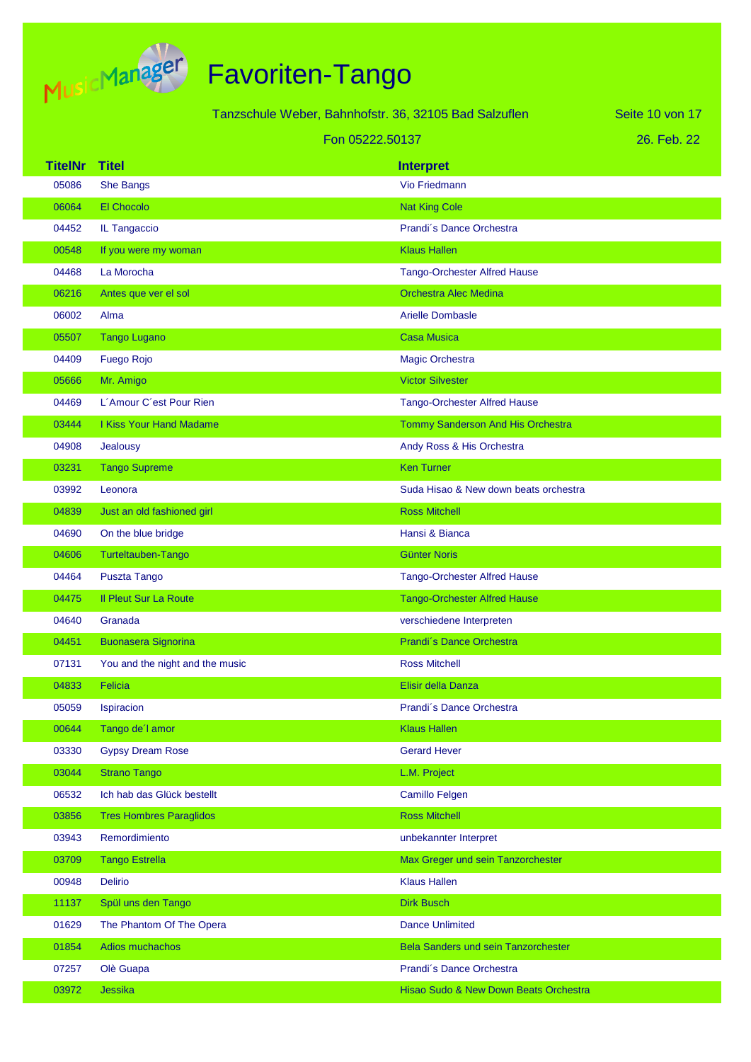

|                |                                 | Tanzschule Weber, Bahnhofstr. 36, 32105 Bad Salzuflen | Seite 10 von 17 |
|----------------|---------------------------------|-------------------------------------------------------|-----------------|
|                | 26. Feb. 22                     |                                                       |                 |
| <b>TitelNr</b> | <b>Titel</b>                    | <b>Interpret</b>                                      |                 |
| 05086          | <b>She Bangs</b>                | <b>Vio Friedmann</b>                                  |                 |
| 06064          | El Chocolo                      | <b>Nat King Cole</b>                                  |                 |
| 04452          | IL Tangaccio                    | Prandi's Dance Orchestra                              |                 |
| 00548          | If you were my woman            | <b>Klaus Hallen</b>                                   |                 |
| 04468          | La Morocha                      | <b>Tango-Orchester Alfred Hause</b>                   |                 |
| 06216          | Antes que ver el sol            | <b>Orchestra Alec Medina</b>                          |                 |
| 06002          | Alma                            | <b>Arielle Dombasle</b>                               |                 |
| 05507          | <b>Tango Lugano</b>             | <b>Casa Musica</b>                                    |                 |
| 04409          | <b>Fuego Rojo</b>               | <b>Magic Orchestra</b>                                |                 |
| 05666          | Mr. Amigo                       | <b>Victor Silvester</b>                               |                 |
| 04469          | L'Amour C'est Pour Rien         | <b>Tango-Orchester Alfred Hause</b>                   |                 |
| 03444          | <b>I Kiss Your Hand Madame</b>  | Tommy Sanderson And His Orchestra                     |                 |
| 04908          | Jealousy                        | Andy Ross & His Orchestra                             |                 |
| 03231          | <b>Tango Supreme</b>            | <b>Ken Turner</b>                                     |                 |
| 03992          | Leonora                         | Suda Hisao & New down beats orchestra                 |                 |
| 04839          | Just an old fashioned girl      | <b>Ross Mitchell</b>                                  |                 |
| 04690          | On the blue bridge              | Hansi & Bianca                                        |                 |
| 04606          | Turteltauben-Tango              | <b>Günter Noris</b>                                   |                 |
| 04464          | Puszta Tango                    | <b>Tango-Orchester Alfred Hause</b>                   |                 |
| 04475          | <b>Il Pleut Sur La Route</b>    | <b>Tango-Orchester Alfred Hause</b>                   |                 |
| 04640          | Granada                         | verschiedene Interpreten                              |                 |
| 04451          | <b>Buonasera Signorina</b>      | Prandi's Dance Orchestra                              |                 |
| 07131          | You and the night and the music | <b>Ross Mitchell</b>                                  |                 |
| 04833          | Felicia                         | Elisir della Danza                                    |                 |
| 05059          | Ispiracion                      | Prandi's Dance Orchestra                              |                 |
| 00644          | Tango de'l amor                 | <b>Klaus Hallen</b>                                   |                 |
| 03330          | <b>Gypsy Dream Rose</b>         | <b>Gerard Hever</b>                                   |                 |
| 03044          | <b>Strano Tango</b>             | L.M. Project                                          |                 |
| 06532          | Ich hab das Glück bestellt      | <b>Camillo Felgen</b>                                 |                 |
| 03856          | <b>Tres Hombres Paraglidos</b>  | <b>Ross Mitchell</b>                                  |                 |
| 03943          | Remordimiento                   | unbekannter Interpret                                 |                 |
| 03709          | <b>Tango Estrella</b>           | Max Greger und sein Tanzorchester                     |                 |
| 00948          | Delirio                         | <b>Klaus Hallen</b>                                   |                 |
| 11137          | Spül uns den Tango              | <b>Dirk Busch</b>                                     |                 |
| 01629          | The Phantom Of The Opera        | <b>Dance Unlimited</b>                                |                 |
| 01854          | Adios muchachos                 | Bela Sanders und sein Tanzorchester                   |                 |
| 07257          | Olè Guapa                       | Prandi's Dance Orchestra                              |                 |
| 03972          | Jessika                         | Hisao Sudo & New Down Beats Orchestra                 |                 |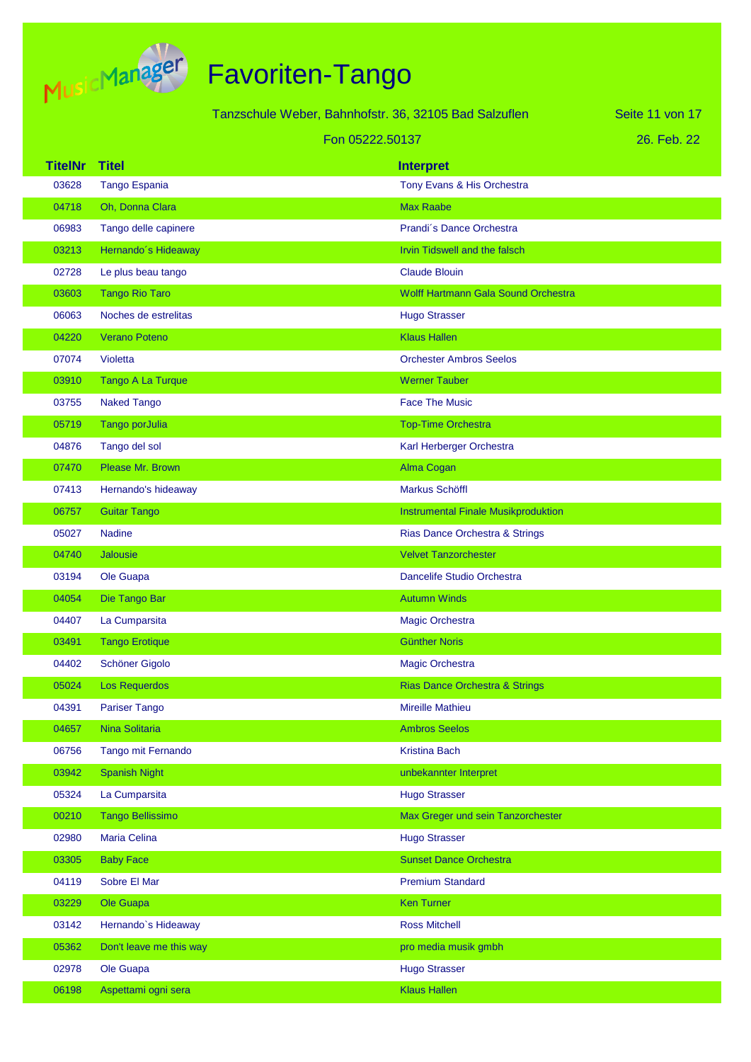

|                |                          | Tanzschule Weber, Bahnhofstr. 36, 32105 Bad Salzuflen | Seite 11 von 17 |
|----------------|--------------------------|-------------------------------------------------------|-----------------|
|                |                          | Fon 05222.50137                                       | 26. Feb. 22     |
| <b>TitelNr</b> | <b>Titel</b>             | <b>Interpret</b>                                      |                 |
| 03628          | Tango Espania            | Tony Evans & His Orchestra                            |                 |
| 04718          | Oh, Donna Clara          | <b>Max Raabe</b>                                      |                 |
| 06983          | Tango delle capinere     | Prandi's Dance Orchestra                              |                 |
| 03213          | Hernando's Hideaway      | Irvin Tidswell and the falsch                         |                 |
| 02728          | Le plus beau tango       | <b>Claude Blouin</b>                                  |                 |
| 03603          | <b>Tango Rio Taro</b>    | Wolff Hartmann Gala Sound Orchestra                   |                 |
| 06063          | Noches de estrelitas     | <b>Hugo Strasser</b>                                  |                 |
| 04220          | <b>Verano Poteno</b>     | <b>Klaus Hallen</b>                                   |                 |
| 07074          | Violetta                 | <b>Orchester Ambros Seelos</b>                        |                 |
| 03910          | <b>Tango A La Turque</b> | <b>Werner Tauber</b>                                  |                 |
| 03755          | <b>Naked Tango</b>       | <b>Face The Music</b>                                 |                 |
| 05719          | Tango porJulia           | <b>Top-Time Orchestra</b>                             |                 |
| 04876          | Tango del sol            | Karl Herberger Orchestra                              |                 |
| 07470          | Please Mr. Brown         | Alma Cogan                                            |                 |
| 07413          | Hernando's hideaway      | Markus Schöffl                                        |                 |
| 06757          | <b>Guitar Tango</b>      | <b>Instrumental Finale Musikproduktion</b>            |                 |
| 05027          | <b>Nadine</b>            | Rias Dance Orchestra & Strings                        |                 |
| 04740          | Jalousie                 | <b>Velvet Tanzorchester</b>                           |                 |
| 03194          | Ole Guapa                | Dancelife Studio Orchestra                            |                 |
| 04054          | Die Tango Bar            | <b>Autumn Winds</b>                                   |                 |
| 04407          | La Cumparsita            | Magic Orchestra                                       |                 |
| 03491          | <b>Tango Erotique</b>    | <b>Günther Noris</b>                                  |                 |
| 04402          | Schöner Gigolo           | Magic Orchestra                                       |                 |
| 05024          | Los Requerdos            | Rias Dance Orchestra & Strings                        |                 |
| 04391          | <b>Pariser Tango</b>     | <b>Mireille Mathieu</b>                               |                 |
| 04657          | Nina Solitaria           | <b>Ambros Seelos</b>                                  |                 |
| 06756          | Tango mit Fernando       | <b>Kristina Bach</b>                                  |                 |
| 03942          | <b>Spanish Night</b>     | unbekannter Interpret                                 |                 |
| 05324          | La Cumparsita            | <b>Hugo Strasser</b>                                  |                 |
| 00210          | <b>Tango Bellissimo</b>  | Max Greger und sein Tanzorchester                     |                 |
| 02980          | Maria Celina             | <b>Hugo Strasser</b>                                  |                 |
| 03305          | <b>Baby Face</b>         | <b>Sunset Dance Orchestra</b>                         |                 |
| 04119          | Sobre El Mar             | <b>Premium Standard</b>                               |                 |
| 03229          | Ole Guapa                | <b>Ken Turner</b>                                     |                 |
| 03142          | Hernando's Hideaway      | <b>Ross Mitchell</b>                                  |                 |
| 05362          | Don't leave me this way  | pro media musik gmbh                                  |                 |
| 02978          | Ole Guapa                | <b>Hugo Strasser</b>                                  |                 |
| 06198          | Aspettami ogni sera      | <b>Klaus Hallen</b>                                   |                 |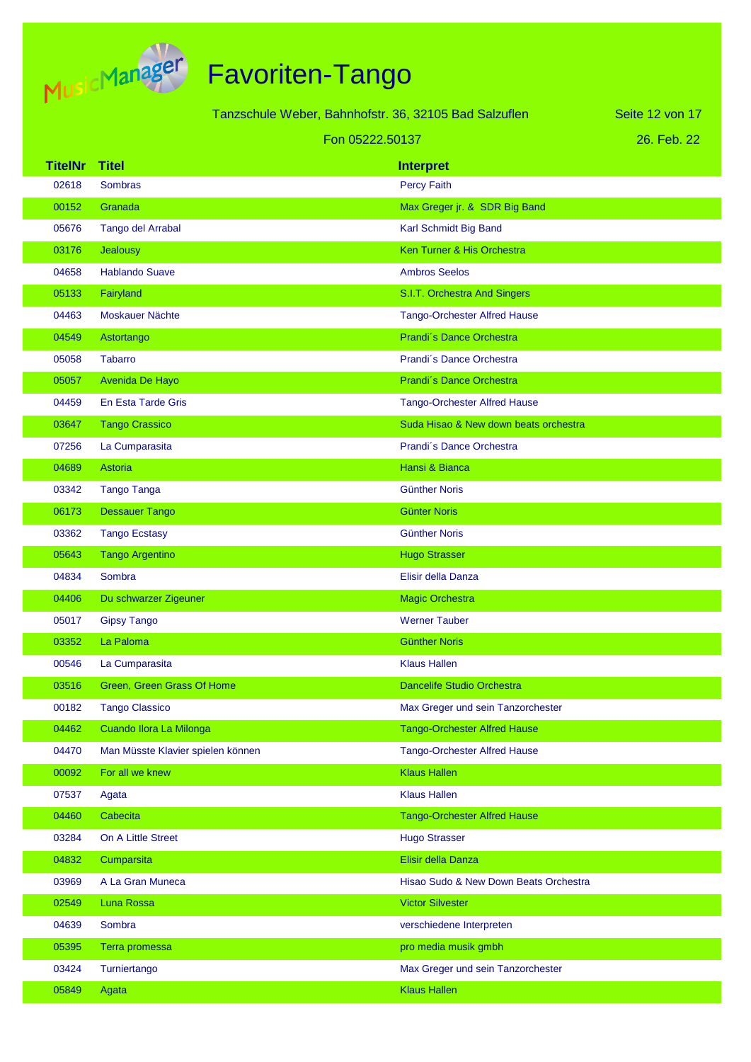

|                |                                   | Tanzschule Weber, Bahnhofstr. 36, 32105 Bad Salzuflen | Seite 12 von 17 |
|----------------|-----------------------------------|-------------------------------------------------------|-----------------|
|                |                                   | Fon 05222.50137                                       | 26. Feb. 22     |
| <b>TitelNr</b> | <b>Titel</b>                      | <b>Interpret</b>                                      |                 |
| 02618          | <b>Sombras</b>                    | <b>Percy Faith</b>                                    |                 |
| 00152          | Granada                           | Max Greger jr. & SDR Big Band                         |                 |
| 05676          | Tango del Arrabal                 | Karl Schmidt Big Band                                 |                 |
| 03176          | <b>Jealousy</b>                   | Ken Turner & His Orchestra                            |                 |
| 04658          | <b>Hablando Suave</b>             | <b>Ambros Seelos</b>                                  |                 |
| 05133          | Fairyland                         | S.I.T. Orchestra And Singers                          |                 |
| 04463          | Moskauer Nächte                   | <b>Tango-Orchester Alfred Hause</b>                   |                 |
| 04549          | Astortango                        | Prandi's Dance Orchestra                              |                 |
| 05058          | <b>Tabarro</b>                    | Prandi's Dance Orchestra                              |                 |
| 05057          | Avenida De Hayo                   | Prandi's Dance Orchestra                              |                 |
| 04459          | En Esta Tarde Gris                | <b>Tango-Orchester Alfred Hause</b>                   |                 |
| 03647          | <b>Tango Crassico</b>             | Suda Hisao & New down beats orchestra                 |                 |
| 07256          | La Cumparasita                    | Prandi's Dance Orchestra                              |                 |
| 04689          | Astoria                           | Hansi & Bianca                                        |                 |
| 03342          | <b>Tango Tanga</b>                | <b>Günther Noris</b>                                  |                 |
| 06173          | <b>Dessauer Tango</b>             | <b>Günter Noris</b>                                   |                 |
| 03362          | <b>Tango Ecstasy</b>              | <b>Günther Noris</b>                                  |                 |
| 05643          | <b>Tango Argentino</b>            | <b>Hugo Strasser</b>                                  |                 |
| 04834          | Sombra                            | Elisir della Danza                                    |                 |
| 04406          | Du schwarzer Zigeuner             | <b>Magic Orchestra</b>                                |                 |
| 05017          | <b>Gipsy Tango</b>                | <b>Werner Tauber</b>                                  |                 |
| 03352          | La Paloma                         | <b>Günther Noris</b>                                  |                 |
| 00546          | La Cumparasita                    | <b>Klaus Hallen</b>                                   |                 |
| 03516          | Green, Green Grass Of Home        | <b>Dancelife Studio Orchestra</b>                     |                 |
| 00182          | <b>Tango Classico</b>             | Max Greger und sein Tanzorchester                     |                 |
| 04462          | Cuando Ilora La Milonga           | <b>Tango-Orchester Alfred Hause</b>                   |                 |
| 04470          | Man Müsste Klavier spielen können | Tango-Orchester Alfred Hause                          |                 |
| 00092          | For all we knew                   | <b>Klaus Hallen</b>                                   |                 |
| 07537          | Agata                             | <b>Klaus Hallen</b>                                   |                 |
| 04460          | Cabecita                          | <b>Tango-Orchester Alfred Hause</b>                   |                 |
| 03284          | On A Little Street                | <b>Hugo Strasser</b>                                  |                 |
| 04832          | Cumparsita                        | Elisir della Danza                                    |                 |
| 03969          | A La Gran Muneca                  | Hisao Sudo & New Down Beats Orchestra                 |                 |
| 02549          | Luna Rossa                        | <b>Victor Silvester</b>                               |                 |
| 04639          | Sombra                            | verschiedene Interpreten                              |                 |
| 05395          | Terra promessa                    | pro media musik gmbh                                  |                 |
| 03424          | Turniertango                      | Max Greger und sein Tanzorchester                     |                 |
| 05849          | Agata                             | <b>Klaus Hallen</b>                                   |                 |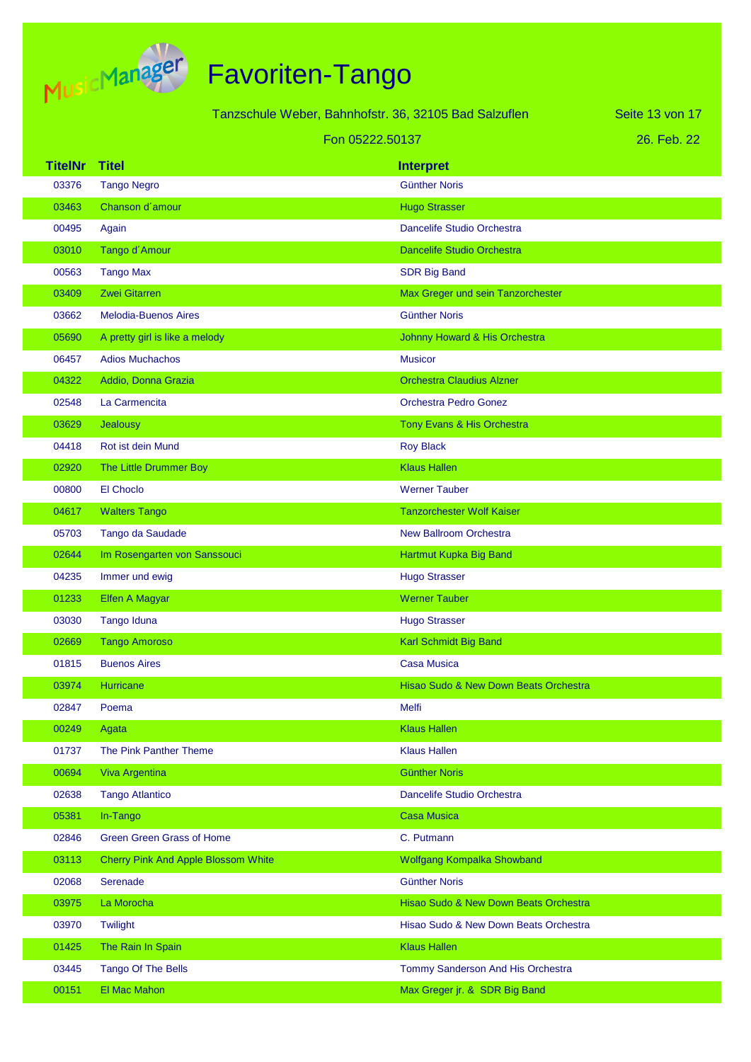

|                |                                            | Tanzschule Weber, Bahnhofstr. 36, 32105 Bad Salzuflen | Seite 13 von 17 |
|----------------|--------------------------------------------|-------------------------------------------------------|-----------------|
|                | Fon 05222.50137                            |                                                       | 26. Feb. 22     |
| <b>TitelNr</b> | <b>Titel</b>                               | <b>Interpret</b>                                      |                 |
| 03376          | <b>Tango Negro</b>                         | <b>Günther Noris</b>                                  |                 |
| 03463          | Chanson d'amour                            | <b>Hugo Strasser</b>                                  |                 |
| 00495          | Again                                      | Dancelife Studio Orchestra                            |                 |
| 03010          | Tango d'Amour                              | <b>Dancelife Studio Orchestra</b>                     |                 |
| 00563          | <b>Tango Max</b>                           | <b>SDR Big Band</b>                                   |                 |
| 03409          | <b>Zwei Gitarren</b>                       | Max Greger und sein Tanzorchester                     |                 |
| 03662          | <b>Melodia-Buenos Aires</b>                | <b>Günther Noris</b>                                  |                 |
| 05690          | A pretty girl is like a melody             | Johnny Howard & His Orchestra                         |                 |
| 06457          | <b>Adios Muchachos</b>                     | <b>Musicor</b>                                        |                 |
| 04322          | Addio, Donna Grazia                        | <b>Orchestra Claudius Alzner</b>                      |                 |
| 02548          | La Carmencita                              | <b>Orchestra Pedro Gonez</b>                          |                 |
| 03629          | Jealousy                                   | Tony Evans & His Orchestra                            |                 |
| 04418          | Rot ist dein Mund                          | <b>Roy Black</b>                                      |                 |
| 02920          | The Little Drummer Boy                     | <b>Klaus Hallen</b>                                   |                 |
| 00800          | El Choclo                                  | <b>Werner Tauber</b>                                  |                 |
| 04617          | <b>Walters Tango</b>                       | <b>Tanzorchester Wolf Kaiser</b>                      |                 |
| 05703          | Tango da Saudade                           | <b>New Ballroom Orchestra</b>                         |                 |
| 02644          | Im Rosengarten von Sanssouci               | Hartmut Kupka Big Band                                |                 |
| 04235          | Immer und ewig                             | <b>Hugo Strasser</b>                                  |                 |
| 01233          | <b>Elfen A Magyar</b>                      | <b>Werner Tauber</b>                                  |                 |
| 03030          | Tango Iduna                                | <b>Hugo Strasser</b>                                  |                 |
| 02669          | <b>Tango Amoroso</b>                       | Karl Schmidt Big Band                                 |                 |
| 01815          | <b>Buenos Aires</b>                        | Casa Musica                                           |                 |
| 03974          | Hurricane                                  | Hisao Sudo & New Down Beats Orchestra                 |                 |
| 02847          | Poema                                      | Melfi                                                 |                 |
| 00249          | Agata                                      | <b>Klaus Hallen</b>                                   |                 |
| 01737          | The Pink Panther Theme                     | <b>Klaus Hallen</b>                                   |                 |
| 00694          | Viva Argentina                             | <b>Günther Noris</b>                                  |                 |
| 02638          | <b>Tango Atlantico</b>                     | Dancelife Studio Orchestra                            |                 |
| 05381          | In-Tango                                   | <b>Casa Musica</b>                                    |                 |
| 02846          | <b>Green Green Grass of Home</b>           | C. Putmann                                            |                 |
| 03113          | <b>Cherry Pink And Apple Blossom White</b> | Wolfgang Kompalka Showband                            |                 |
| 02068          | Serenade                                   | <b>Günther Noris</b>                                  |                 |
| 03975          | La Morocha                                 | Hisao Sudo & New Down Beats Orchestra                 |                 |
| 03970          | Twilight                                   | Hisao Sudo & New Down Beats Orchestra                 |                 |
| 01425          | The Rain In Spain                          | <b>Klaus Hallen</b>                                   |                 |
| 03445          | Tango Of The Bells                         | Tommy Sanderson And His Orchestra                     |                 |
| 00151          | El Mac Mahon                               | Max Greger jr. & SDR Big Band                         |                 |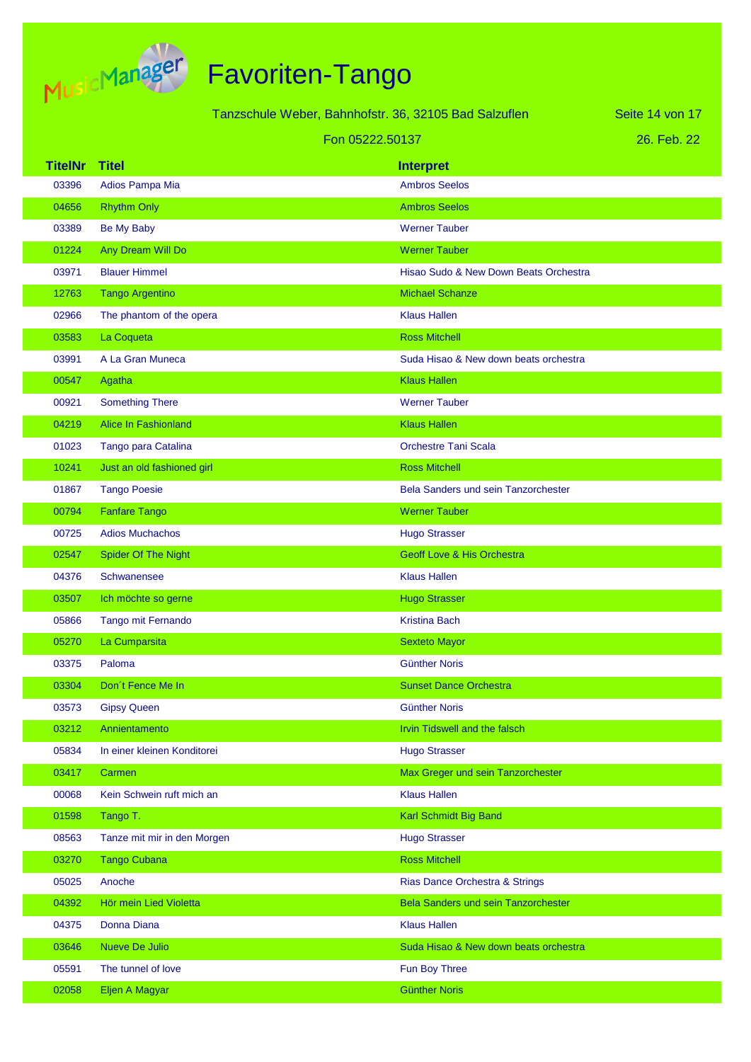

|                |                             | Tanzschule Weber, Bahnhofstr. 36, 32105 Bad Salzuflen | Seite 14 von 17 |
|----------------|-----------------------------|-------------------------------------------------------|-----------------|
|                | Fon 05222.50137             |                                                       | 26. Feb. 22     |
| <b>TitelNr</b> | <b>Titel</b>                | <b>Interpret</b>                                      |                 |
| 03396          | Adios Pampa Mia             | <b>Ambros Seelos</b>                                  |                 |
| 04656          | <b>Rhythm Only</b>          | <b>Ambros Seelos</b>                                  |                 |
| 03389          | Be My Baby                  | <b>Werner Tauber</b>                                  |                 |
| 01224          | Any Dream Will Do           | <b>Werner Tauber</b>                                  |                 |
| 03971          | <b>Blauer Himmel</b>        | Hisao Sudo & New Down Beats Orchestra                 |                 |
| 12763          | <b>Tango Argentino</b>      | <b>Michael Schanze</b>                                |                 |
| 02966          | The phantom of the opera    | <b>Klaus Hallen</b>                                   |                 |
| 03583          | La Coqueta                  | <b>Ross Mitchell</b>                                  |                 |
| 03991          | A La Gran Muneca            | Suda Hisao & New down beats orchestra                 |                 |
| 00547          | Agatha                      | <b>Klaus Hallen</b>                                   |                 |
| 00921          | <b>Something There</b>      | <b>Werner Tauber</b>                                  |                 |
| 04219          | <b>Alice In Fashionland</b> | <b>Klaus Hallen</b>                                   |                 |
| 01023          | Tango para Catalina         | <b>Orchestre Tani Scala</b>                           |                 |
| 10241          | Just an old fashioned girl  | <b>Ross Mitchell</b>                                  |                 |
| 01867          | <b>Tango Poesie</b>         | <b>Bela Sanders und sein Tanzorchester</b>            |                 |
| 00794          | <b>Fanfare Tango</b>        | <b>Werner Tauber</b>                                  |                 |
| 00725          | <b>Adios Muchachos</b>      | <b>Hugo Strasser</b>                                  |                 |
| 02547          | <b>Spider Of The Night</b>  | <b>Geoff Love &amp; His Orchestra</b>                 |                 |
| 04376          | Schwanensee                 | <b>Klaus Hallen</b>                                   |                 |
| 03507          | Ich möchte so gerne         | <b>Hugo Strasser</b>                                  |                 |
| 05866          | Tango mit Fernando          | <b>Kristina Bach</b>                                  |                 |
| 05270          | La Cumparsita               | <b>Sexteto Mayor</b>                                  |                 |
| 03375          | Paloma                      | Günther Noris                                         |                 |
| 03304          | Don't Fence Me In           | <b>Sunset Dance Orchestra</b>                         |                 |
| 03573          | <b>Gipsy Queen</b>          | <b>Günther Noris</b>                                  |                 |
| 03212          | Annientamento               | Irvin Tidswell and the falsch                         |                 |
| 05834          | In einer kleinen Konditorei | <b>Hugo Strasser</b>                                  |                 |
| 03417          | Carmen                      | Max Greger und sein Tanzorchester                     |                 |
| 00068          | Kein Schwein ruft mich an   | <b>Klaus Hallen</b>                                   |                 |
| 01598          | Tango T.                    | Karl Schmidt Big Band                                 |                 |
| 08563          | Tanze mit mir in den Morgen | <b>Hugo Strasser</b>                                  |                 |
| 03270          | <b>Tango Cubana</b>         | <b>Ross Mitchell</b>                                  |                 |
| 05025          | Anoche                      | Rias Dance Orchestra & Strings                        |                 |
| 04392          | Hör mein Lied Violetta      | Bela Sanders und sein Tanzorchester                   |                 |
| 04375          | Donna Diana                 | <b>Klaus Hallen</b>                                   |                 |
| 03646          | Nueve De Julio              | Suda Hisao & New down beats orchestra                 |                 |
| 05591          | The tunnel of love          | Fun Boy Three                                         |                 |
| 02058          | Eljen A Magyar              | <b>Günther Noris</b>                                  |                 |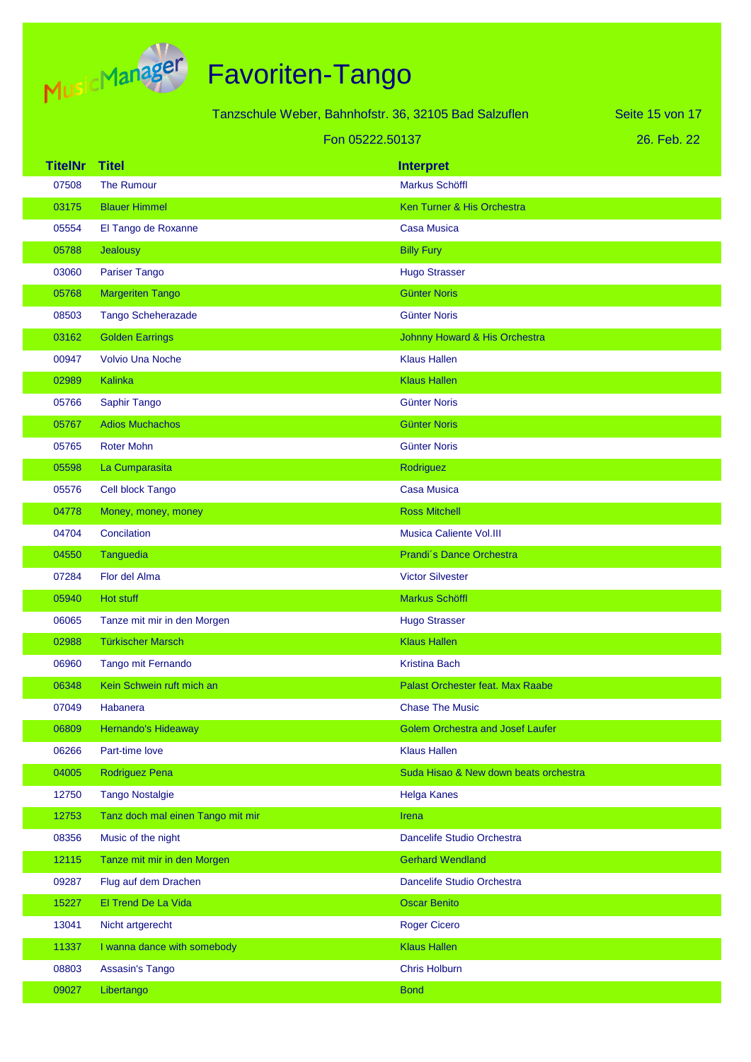

|                |                                   | Tanzschule Weber, Bahnhofstr. 36, 32105 Bad Salzuflen | Seite 15 von 17 |
|----------------|-----------------------------------|-------------------------------------------------------|-----------------|
|                |                                   | Fon 05222.50137                                       | 26. Feb. 22     |
| <b>TitelNr</b> | <b>Titel</b>                      | <b>Interpret</b>                                      |                 |
| 07508          | <b>The Rumour</b>                 | <b>Markus Schöffl</b>                                 |                 |
| 03175          | <b>Blauer Himmel</b>              | Ken Turner & His Orchestra                            |                 |
| 05554          | El Tango de Roxanne               | <b>Casa Musica</b>                                    |                 |
| 05788          | Jealousy                          | <b>Billy Fury</b>                                     |                 |
| 03060          | <b>Pariser Tango</b>              | <b>Hugo Strasser</b>                                  |                 |
| 05768          | <b>Margeriten Tango</b>           | <b>Günter Noris</b>                                   |                 |
| 08503          | <b>Tango Scheherazade</b>         | <b>Günter Noris</b>                                   |                 |
| 03162          | <b>Golden Earrings</b>            | Johnny Howard & His Orchestra                         |                 |
| 00947          | <b>Volvio Una Noche</b>           | <b>Klaus Hallen</b>                                   |                 |
| 02989          | <b>Kalinka</b>                    | <b>Klaus Hallen</b>                                   |                 |
| 05766          | Saphir Tango                      | <b>Günter Noris</b>                                   |                 |
| 05767          | <b>Adios Muchachos</b>            | <b>Günter Noris</b>                                   |                 |
| 05765          | <b>Roter Mohn</b>                 | <b>Günter Noris</b>                                   |                 |
| 05598          | La Cumparasita                    | Rodriguez                                             |                 |
| 05576          | Cell block Tango                  | <b>Casa Musica</b>                                    |                 |
| 04778          | Money, money, money               | <b>Ross Mitchell</b>                                  |                 |
| 04704          | Concilation                       | <b>Musica Caliente Vol.III</b>                        |                 |
| 04550          | Tanguedia                         | Prandi's Dance Orchestra                              |                 |
| 07284          | Flor del Alma                     | <b>Victor Silvester</b>                               |                 |
| 05940          | Hot stuff                         | Markus Schöffl                                        |                 |
| 06065          | Tanze mit mir in den Morgen       | <b>Hugo Strasser</b>                                  |                 |
| 02988          | <b>Türkischer Marsch</b>          | <b>Klaus Hallen</b>                                   |                 |
| 06960          | Tango mit Fernando                | <b>Kristina Bach</b>                                  |                 |
| 06348          | Kein Schwein ruft mich an         | Palast Orchester feat. Max Raabe                      |                 |
| 07049          | Habanera                          | <b>Chase The Music</b>                                |                 |
| 06809          | Hernando's Hideaway               | <b>Golem Orchestra and Josef Laufer</b>               |                 |
| 06266          | Part-time love                    | <b>Klaus Hallen</b>                                   |                 |
| 04005          | Rodriguez Pena                    | Suda Hisao & New down beats orchestra                 |                 |
| 12750          | <b>Tango Nostalgie</b>            | <b>Helga Kanes</b>                                    |                 |
| 12753          | Tanz doch mal einen Tango mit mir | Irena                                                 |                 |
| 08356          | Music of the night                | Dancelife Studio Orchestra                            |                 |
| 12115          | Tanze mit mir in den Morgen       | <b>Gerhard Wendland</b>                               |                 |
| 09287          | Flug auf dem Drachen              | Dancelife Studio Orchestra                            |                 |
| 15227          | El Trend De La Vida               | <b>Oscar Benito</b>                                   |                 |
| 13041          | Nicht artgerecht                  | <b>Roger Cicero</b>                                   |                 |
| 11337          | I wanna dance with somebody       | <b>Klaus Hallen</b>                                   |                 |
| 08803          | Assasin's Tango                   | <b>Chris Holburn</b>                                  |                 |
| 09027          | Libertango                        | <b>Bond</b>                                           |                 |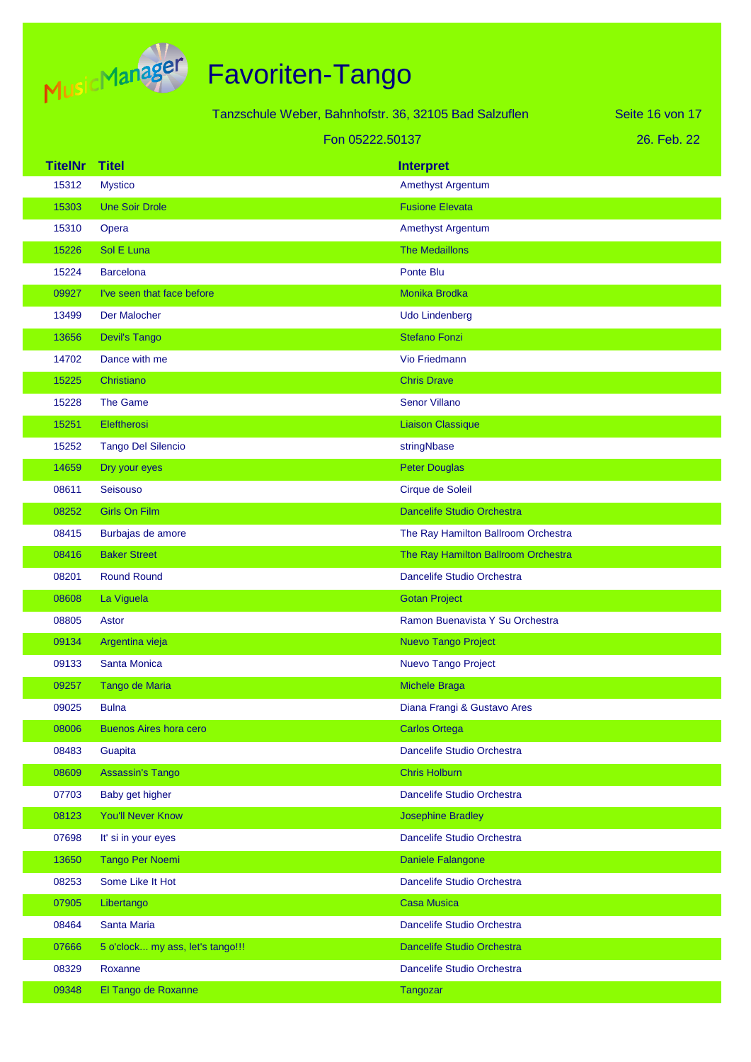

|                |                                  | Tanzschule Weber, Bahnhofstr. 36, 32105 Bad Salzuflen | Seite 16 von 17 |
|----------------|----------------------------------|-------------------------------------------------------|-----------------|
|                |                                  | Fon 05222.50137                                       | 26. Feb. 22     |
| <b>TitelNr</b> | <b>Titel</b>                     | <b>Interpret</b>                                      |                 |
| 15312          | <b>Mystico</b>                   | <b>Amethyst Argentum</b>                              |                 |
| 15303          | <b>Une Soir Drole</b>            | <b>Fusione Elevata</b>                                |                 |
| 15310          | Opera                            | <b>Amethyst Argentum</b>                              |                 |
| 15226          | Sol E Luna                       | <b>The Medaillons</b>                                 |                 |
| 15224          | <b>Barcelona</b>                 | Ponte Blu                                             |                 |
| 09927          | I've seen that face before       | Monika Brodka                                         |                 |
| 13499          | Der Malocher                     | <b>Udo Lindenberg</b>                                 |                 |
| 13656          | <b>Devil's Tango</b>             | <b>Stefano Fonzi</b>                                  |                 |
| 14702          | Dance with me                    | <b>Vio Friedmann</b>                                  |                 |
| 15225          | Christiano                       | <b>Chris Drave</b>                                    |                 |
| 15228          | The Game                         | <b>Senor Villano</b>                                  |                 |
| 15251          | Eleftherosi                      | <b>Liaison Classique</b>                              |                 |
| 15252          | <b>Tango Del Silencio</b>        | stringNbase                                           |                 |
| 14659          | Dry your eyes                    | <b>Peter Douglas</b>                                  |                 |
| 08611          | Seisouso                         | Cirque de Soleil                                      |                 |
| 08252          | <b>Girls On Film</b>             | <b>Dancelife Studio Orchestra</b>                     |                 |
| 08415          | Burbajas de amore                | The Ray Hamilton Ballroom Orchestra                   |                 |
| 08416          | <b>Baker Street</b>              | The Ray Hamilton Ballroom Orchestra                   |                 |
| 08201          | <b>Round Round</b>               | Dancelife Studio Orchestra                            |                 |
| 08608          | La Viguela                       | <b>Gotan Project</b>                                  |                 |
| 08805          | Astor                            | Ramon Buenavista Y Su Orchestra                       |                 |
| 09134          | Argentina vieja                  | <b>Nuevo Tango Project</b>                            |                 |
| 09133          | <b>Santa Monica</b>              | Nuevo Tango Project                                   |                 |
| 09257          | Tango de Maria                   | Michele Braga                                         |                 |
| 09025          | <b>Bulna</b>                     | Diana Frangi & Gustavo Ares                           |                 |
| 08006          | <b>Buenos Aires hora cero</b>    | <b>Carlos Ortega</b>                                  |                 |
| 08483          | Guapita                          | Dancelife Studio Orchestra                            |                 |
| 08609          | <b>Assassin's Tango</b>          | <b>Chris Holburn</b>                                  |                 |
| 07703          | Baby get higher                  | Dancelife Studio Orchestra                            |                 |
| 08123          | <b>You'll Never Know</b>         | <b>Josephine Bradley</b>                              |                 |
| 07698          | It' si in your eyes              | Dancelife Studio Orchestra                            |                 |
| 13650          | Tango Per Noemi                  | Daniele Falangone                                     |                 |
| 08253          | Some Like It Hot                 | Dancelife Studio Orchestra                            |                 |
| 07905          | Libertango                       | <b>Casa Musica</b>                                    |                 |
| 08464          | Santa Maria                      | Dancelife Studio Orchestra                            |                 |
| 07666          | 5 o'clock my ass, let's tango!!! | Dancelife Studio Orchestra                            |                 |
| 08329          | Roxanne                          | Dancelife Studio Orchestra                            |                 |
| 09348          | El Tango de Roxanne              | Tangozar                                              |                 |